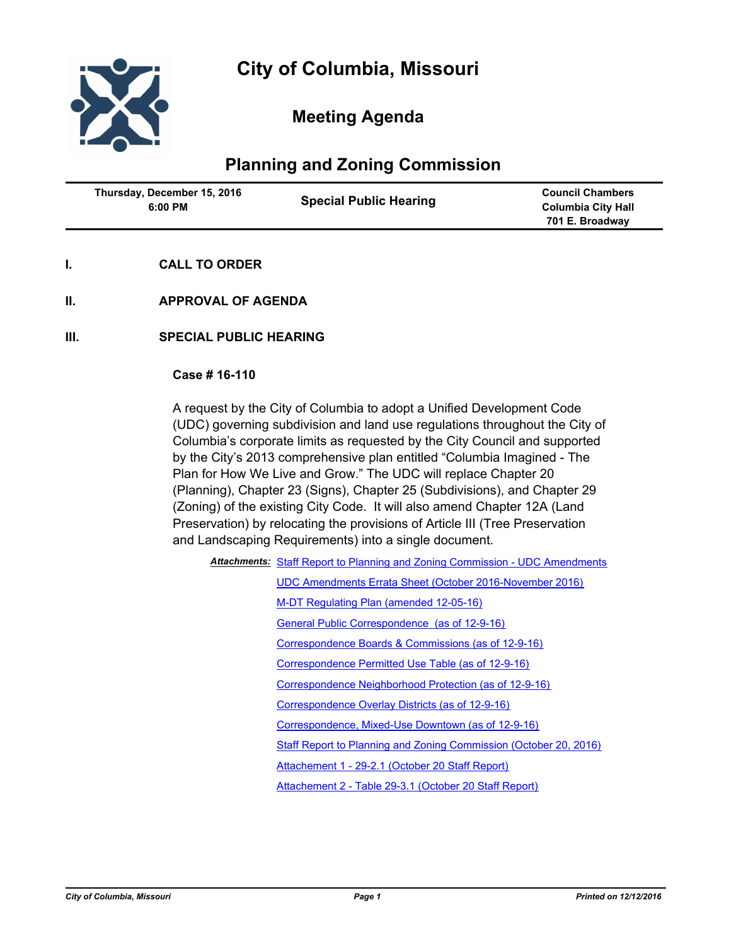

# **Meeting Agenda**

## **Planning and Zoning Commission**

| <b>Special Public Hearing</b><br>6:00 PM | <b>Council Chambers</b><br><b>Columbia City Hall</b><br>701 E. Broadway |
|------------------------------------------|-------------------------------------------------------------------------|
|------------------------------------------|-------------------------------------------------------------------------|

- **I. CALL TO ORDER**
- **II. APPROVAL OF AGENDA**
- **III. SPECIAL PUBLIC HEARING**

#### **Case # 16-110**

A request by the City of Columbia to adopt a Unified Development Code (UDC) governing subdivision and land use regulations throughout the City of Columbia's corporate limits as requested by the City Council and supported by the City's 2013 comprehensive plan entitled "Columbia Imagined - The Plan for How We Live and Grow." The UDC will replace Chapter 20 (Planning), Chapter 23 (Signs), Chapter 25 (Subdivisions), and Chapter 29 (Zoning) of the existing City Code. It will also amend Chapter 12A (Land Preservation) by relocating the provisions of Article III (Tree Preservation and Landscaping Requirements) into a single document.

| <b>Attachments: Staff Report to Planning and Zoning Commission - UDC Amendments</b> |
|-------------------------------------------------------------------------------------|
| UDC Amendments Errata Sheet (October 2016-November 2016)                            |

[M-DT Regulating Plan \(amended 12-05-16\)](http://gocolumbiamo.legistar.com/gateway.aspx?M=F&ID=c266ae17-21f6-4cde-907a-995d0124383d.pdf)

[General Public Correspondence \(as of 12-9-16\)](http://gocolumbiamo.legistar.com/gateway.aspx?M=F&ID=5f129cc7-0046-4d8c-96c7-5da64b60689e.pdf)

[Correspondence Boards & Commissions \(as of 12-9-16\)](http://gocolumbiamo.legistar.com/gateway.aspx?M=F&ID=0e1e3503-a2a6-48ff-a269-57d7f76504c4.pdf)

[Correspondence Permitted Use Table \(as of 12-9-16\)](http://gocolumbiamo.legistar.com/gateway.aspx?M=F&ID=9c3357ff-e393-4785-8a43-b19ed559fe76.pdf)

[Correspondence Neighborhood Protection \(as of 12-9-16\)](http://gocolumbiamo.legistar.com/gateway.aspx?M=F&ID=edf7ffe8-55b9-4a9e-996c-3ecbb2cf3bc3.pdf)

[Correspondence Overlay Districts \(as of 12-9-16\)](http://gocolumbiamo.legistar.com/gateway.aspx?M=F&ID=a5a27c99-f1d9-4405-b7cc-bdafad7cd16b.pdf)

[Correspondence, Mixed-Use Downtown \(as of 12-9-16\)](http://gocolumbiamo.legistar.com/gateway.aspx?M=F&ID=23469063-19c8-4485-9e46-135908c9b0d7.pdf)

[Staff Report to Planning and Zoning Commission \(October 20, 2016\)](http://gocolumbiamo.legistar.com/gateway.aspx?M=F&ID=142ea5ac-42a7-41b9-95d9-7d6fdba12d01.doc)

[Attachement 1 - 29-2.1 \(October 20 Staff Report\)](http://gocolumbiamo.legistar.com/gateway.aspx?M=F&ID=41bc09a9-2b77-4ccf-9dd0-429df95e6f16.pdf)

[Attachement 2 - Table 29-3.1 \(October 20 Staff Report\)](http://gocolumbiamo.legistar.com/gateway.aspx?M=F&ID=0910b813-ef65-42d8-83f6-558e399e083e.pdf)